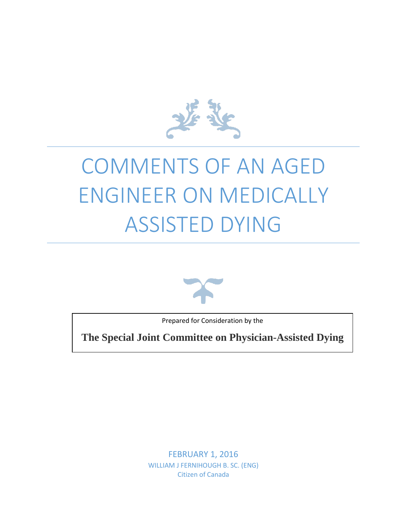

# COMMENTS OF AN AGED ENGINEER ON MEDICALLY ASSISTED DYING



Prepared for Consideration by the

**The Special Joint Committee on Physician-Assisted Dying**

FEBRUARY 1, 2016 WILLIAM J FERNIHOUGH B. SC. (ENG) Citizen of Canada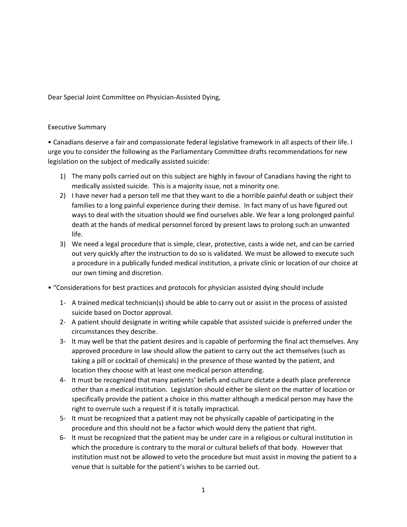Dear Special Joint Committee on Physician-Assisted Dying,

### Executive Summary

• Canadians deserve a fair and compassionate federal legislative framework in all aspects of their life. I urge you to consider the following as the Parliamentary Committee drafts recommendations for new legislation on the subject of medically assisted suicide:

- 1) The many polls carried out on this subject are highly in favour of Canadians having the right to medically assisted suicide. This is a majority issue, not a minority one.
- 2) I have never had a person tell me that they want to die a horrible painful death or subject their families to a long painful experience during their demise. In fact many of us have figured out ways to deal with the situation should we find ourselves able. We fear a long prolonged painful death at the hands of medical personnel forced by present laws to prolong such an unwanted life.
- 3) We need a legal procedure that is simple, clear, protective, casts a wide net, and can be carried out very quickly after the instruction to do so is validated. We must be allowed to execute such a procedure in a publically funded medical institution, a private clinic or location of our choice at our own timing and discretion.
- "Considerations for best practices and protocols for physician assisted dying should include
	- 1- A trained medical technician(s) should be able to carry out or assist in the process of assisted suicide based on Doctor approval.
	- 2- A patient should designate in writing while capable that assisted suicide is preferred under the circumstances they describe.
	- 3- It may well be that the patient desires and is capable of performing the final act themselves. Any approved procedure in law should allow the patient to carry out the act themselves (such as taking a pill or cocktail of chemicals) in the presence of those wanted by the patient, and location they choose with at least one medical person attending.
	- 4- It must be recognized that many patients' beliefs and culture dictate a death place preference other than a medical institution. Legislation should either be silent on the matter of location or specifically provide the patient a choice in this matter although a medical person may have the right to overrule such a request if it is totally impractical.
	- 5- It must be recognized that a patient may not be physically capable of participating in the procedure and this should not be a factor which would deny the patient that right.
	- 6- It must be recognized that the patient may be under care in a religious or cultural institution in which the procedure is contrary to the moral or cultural beliefs of that body. However that institution must not be allowed to veto the procedure but must assist in moving the patient to a venue that is suitable for the patient's wishes to be carried out.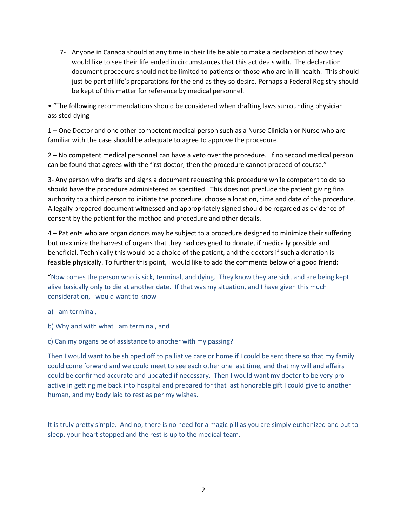7- Anyone in Canada should at any time in their life be able to make a declaration of how they would like to see their life ended in circumstances that this act deals with. The declaration document procedure should not be limited to patients or those who are in ill health. This should just be part of life's preparations for the end as they so desire. Perhaps a Federal Registry should be kept of this matter for reference by medical personnel.

• "The following recommendations should be considered when drafting laws surrounding physician assisted dying

1 – One Doctor and one other competent medical person such as a Nurse Clinician or Nurse who are familiar with the case should be adequate to agree to approve the procedure.

2 – No competent medical personnel can have a veto over the procedure. If no second medical person can be found that agrees with the first doctor, then the procedure cannot proceed of course."

3- Any person who drafts and signs a document requesting this procedure while competent to do so should have the procedure administered as specified. This does not preclude the patient giving final authority to a third person to initiate the procedure, choose a location, time and date of the procedure. A legally prepared document witnessed and appropriately signed should be regarded as evidence of consent by the patient for the method and procedure and other details.

4 – Patients who are organ donors may be subject to a procedure designed to minimize their suffering but maximize the harvest of organs that they had designed to donate, if medically possible and beneficial. Technically this would be a choice of the patient, and the doctors if such a donation is feasible physically. To further this point, I would like to add the comments below of a good friend:

"Now comes the person who is sick, terminal, and dying. They know they are sick, and are being kept alive basically only to die at another date. If that was my situation, and I have given this much consideration, I would want to know

a) I am terminal,

b) Why and with what I am terminal, and

c) Can my organs be of assistance to another with my passing?

Then I would want to be shipped off to palliative care or home if I could be sent there so that my family could come forward and we could meet to see each other one last time, and that my will and affairs could be confirmed accurate and updated if necessary. Then I would want my doctor to be very proactive in getting me back into hospital and prepared for that last honorable gift I could give to another human, and my body laid to rest as per my wishes.

It is truly pretty simple. And no, there is no need for a magic pill as you are simply euthanized and put to sleep, your heart stopped and the rest is up to the medical team.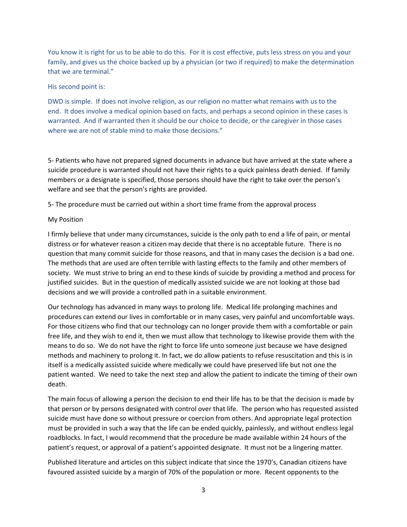You know it is right for us to be able to do this. For it is cost effective, puts less stress on you and your family, and gives us the choice backed up by a physician (or two if required) to make the determination that we are terminal."

#### His second point is:

DWD is simple. If does not involve religion, as our religion no matter what remains with us to the end. It does involve a medical opinion based on facts, and perhaps a second opinion in these cases is warranted. And if warranted then it should be our choice to decide, or the caregiver in those cases where we are not of stable mind to make those decisions."

5- Patients who have not prepared signed documents in advance but have arrived at the state where a suicide procedure is warranted should not have their rights to a quick painless death denied. If family members or a designate is specified, those persons should have the right to take over the person's welfare and see that the person's rights are provided.

5- The procedure must be carried out within a short time frame from the approval process

#### My Position

I firmly believe that under many circumstances, suicide is the only path to end a life of pain, or mental distress or for whatever reason a citizen may decide that there is no acceptable future. There is no question that many commit suicide for those reasons, and that in many cases the decision is a bad one. The methods that are used are often terrible with lasting effects to the family and other members of society. We must strive to bring an end to these kinds of suicide by providing a method and process for justified suicides. But in the question of medically assisted suicide we are not looking at those bad decisions and we will provide a controlled path in a suitable environment.

Our technology has advanced in many ways to prolong life. Medical life prolonging machines and procedures can extend our lives in comfortable or in many cases, very painful and uncomfortable ways. For those citizens who find that our technology can no longer provide them with a comfortable or pain free life, and they wish to end it, then we must allow that technology to likewise provide them with the means to do so. We do not have the right to force life unto someone just because we have designed methods and machinery to prolong it. In fact, we do allow patients to refuse resuscitation and this is in itself is a medically assisted suicide where medically we could have preserved life but not one the patient wanted. We need to take the next step and allow the patient to indicate the timing of their own death.

The main focus of allowing a person the decision to end their life has to be that the decision is made by that person or by persons designated with control over that life. The person who has requested assisted suicide must have done so without pressure or coercion from others. And appropriate legal protection must be provided in such a way that the life can be ended quickly, painlessly, and without endless legal roadblocks. In fact, I would recommend that the procedure be made available within 24 hours of the patient's request, or approval of a patient's appointed designate. It must not be a lingering matter.

Published literature and articles on this subject indicate that since the 1970's, Canadian citizens have favoured assisted suicide by a margin of 70% of the population or more. Recent opponents to the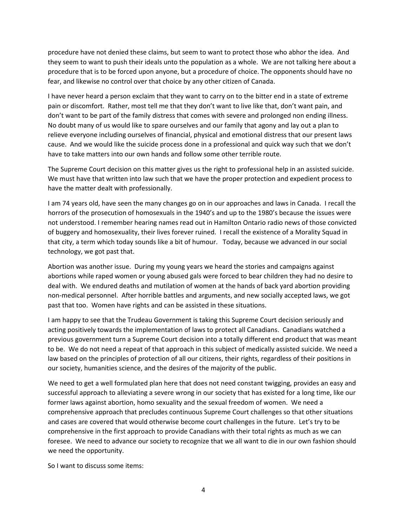procedure have not denied these claims, but seem to want to protect those who abhor the idea. And they seem to want to push their ideals unto the population as a whole. We are not talking here about a procedure that is to be forced upon anyone, but a procedure of choice. The opponents should have no fear, and likewise no control over that choice by any other citizen of Canada.

I have never heard a person exclaim that they want to carry on to the bitter end in a state of extreme pain or discomfort. Rather, most tell me that they don't want to live like that, don't want pain, and don't want to be part of the family distress that comes with severe and prolonged non ending illness. No doubt many of us would like to spare ourselves and our family that agony and lay out a plan to relieve everyone including ourselves of financial, physical and emotional distress that our present laws cause. And we would like the suicide process done in a professional and quick way such that we don't have to take matters into our own hands and follow some other terrible route.

The Supreme Court decision on this matter gives us the right to professional help in an assisted suicide. We must have that written into law such that we have the proper protection and expedient process to have the matter dealt with professionally.

I am 74 years old, have seen the many changes go on in our approaches and laws in Canada. I recall the horrors of the prosecution of homosexuals in the 1940's and up to the 1980's because the issues were not understood. I remember hearing names read out in Hamilton Ontario radio news of those convicted of buggery and homosexuality, their lives forever ruined. I recall the existence of a Morality Squad in that city, a term which today sounds like a bit of humour. Today, because we advanced in our social technology, we got past that.

Abortion was another issue. During my young years we heard the stories and campaigns against abortions while raped women or young abused gals were forced to bear children they had no desire to deal with. We endured deaths and mutilation of women at the hands of back yard abortion providing non-medical personnel. After horrible battles and arguments, and new socially accepted laws, we got past that too. Women have rights and can be assisted in these situations.

I am happy to see that the Trudeau Government is taking this Supreme Court decision seriously and acting positively towards the implementation of laws to protect all Canadians. Canadians watched a previous government turn a Supreme Court decision into a totally different end product that was meant to be. We do not need a repeat of that approach in this subject of medically assisted suicide. We need a law based on the principles of protection of all our citizens, their rights, regardless of their positions in our society, humanities science, and the desires of the majority of the public.

We need to get a well formulated plan here that does not need constant twigging, provides an easy and successful approach to alleviating a severe wrong in our society that has existed for a long time, like our former laws against abortion, homo sexuality and the sexual freedom of women. We need a comprehensive approach that precludes continuous Supreme Court challenges so that other situations and cases are covered that would otherwise become court challenges in the future. Let's try to be comprehensive in the first approach to provide Canadians with their total rights as much as we can foresee. We need to advance our society to recognize that we all want to die in our own fashion should we need the opportunity.

So I want to discuss some items: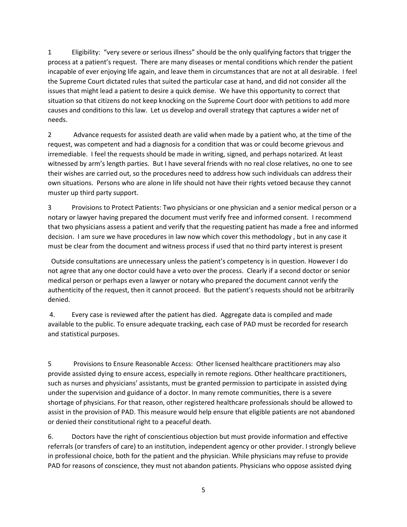1 Eligibility: "very severe or serious illness" should be the only qualifying factors that trigger the process at a patient's request. There are many diseases or mental conditions which render the patient incapable of ever enjoying life again, and leave them in circumstances that are not at all desirable. I feel the Supreme Court dictated rules that suited the particular case at hand, and did not consider all the issues that might lead a patient to desire a quick demise. We have this opportunity to correct that situation so that citizens do not keep knocking on the Supreme Court door with petitions to add more causes and conditions to this law. Let us develop and overall strategy that captures a wider net of needs.

2 Advance requests for assisted death are valid when made by a patient who, at the time of the request, was competent and had a diagnosis for a condition that was or could become grievous and irremediable. I feel the requests should be made in writing, signed, and perhaps notarized. At least witnessed by arm's length parties. But I have several friends with no real close relatives, no one to see their wishes are carried out, so the procedures need to address how such individuals can address their own situations. Persons who are alone in life should not have their rights vetoed because they cannot muster up third party support.

3 Provisions to Protect Patients: Two physicians or one physician and a senior medical person or a notary or lawyer having prepared the document must verify free and informed consent. I recommend that two physicians assess a patient and verify that the requesting patient has made a free and informed decision. I am sure we have procedures in law now which cover this methodology , but in any case it must be clear from the document and witness process if used that no third party interest is present

Outside consultations are unnecessary unless the patient's competency is in question. However I do not agree that any one doctor could have a veto over the process. Clearly if a second doctor or senior medical person or perhaps even a lawyer or notary who prepared the document cannot verify the authenticity of the request, then it cannot proceed. But the patient's requests should not be arbitrarily denied.

4. Every case is reviewed after the patient has died. Aggregate data is compiled and made available to the public. To ensure adequate tracking, each case of PAD must be recorded for research and statistical purposes.

5 Provisions to Ensure Reasonable Access: Other licensed healthcare practitioners may also provide assisted dying to ensure access, especially in remote regions. Other healthcare practitioners, such as nurses and physicians' assistants, must be granted permission to participate in assisted dying under the supervision and guidance of a doctor. In many remote communities, there is a severe shortage of physicians. For that reason, other registered healthcare professionals should be allowed to assist in the provision of PAD. This measure would help ensure that eligible patients are not abandoned or denied their constitutional right to a peaceful death.

6. Doctors have the right of conscientious objection but must provide information and effective referrals (or transfers of care) to an institution, independent agency or other provider. I strongly believe in professional choice, both for the patient and the physician. While physicians may refuse to provide PAD for reasons of conscience, they must not abandon patients. Physicians who oppose assisted dying